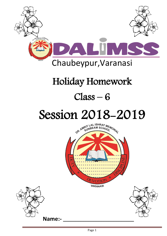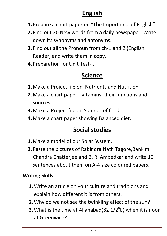# **English**

- **1.**Prepare a chart paper on "The Importance of English".
- **2.** Find out 20 New words from a daily newspaper. Write down its synonyms and antonyms.
- **3.** Find out all the Pronoun from ch-1 and 2 (English Reader) and write them in copy.
- **4.**Preparation for Unit Test-I.

# **Science**

- **1.**Make a Project file on Nutrients and Nutrition
- **2.**Make a chart paper –Vitamins, their functions and sources.
- **3.**Make a Project file on Sources of food.
- **4.**Make a chart paper showing Balanced diet.

# **Social studies**

- **1.**Make a model of our Solar System.
- **2.**Paste the pictures of Rabindra Nath Tagore,Bankim Chandra Chatterjee and B. R. Ambedkar and write 10 sentences about them on A-4 size coloured papers.

#### **Writing Skills-**

- **1.**Write an article on your culture and traditions and explain how different it is from others.
- **2.**Why do we not see the twinkling effect of the sun?
- **3.** What is the time at Allahabad(82  $1/2^0$ E) when it is noon at Greenwich?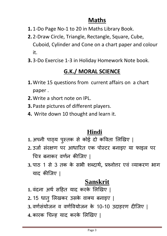## **Maths**

- **1.**1-Do Page No-1 to 20 in Maths Library Book.
- **2.**2-Draw Circle, Triangle, Rectangle, Square, Cube, Cuboid, Cylinder and Cone on a chart paper and colour it.
- **3.**3-Do Exercise 1-3 in Holiday Homework Note book.

### **G.K./ MORAL SCIENCE**

- **1.**Write 15 questions from current affairs on a chart paper .
- **2.**Write a short note on IPL.
- **3.**Paste pictures of different players.
- **4.** Write down 10 thought and learn it.

#### **Hindi**

- 1. अपनी पाठ्**य पुस्तक से कोई दो कविता लिखिए** |
- 2. उर्जा संरक्षण पर आधारित एक पोस्टर बनाइए या फाइल पर चित्र बनाकर वर्णन कीजिए |
- **3.** ऩाठ 1 से 3 तक के सबी शब्दाथा**,** प्रश्नोत्तर एिं व्याकरण बाग याद कीजर्ए |

### **Sanskrit**

- 1. वंदना अर्थ सहित याद करके लिखिए |
- 2. 15 धातु लिखकर उसके वाक्य बनाइए |
- 3. वर्णसंयोजन व वर्णवियोजन के 10-10 उदाहरण दीजिए |
- **4.** कारक चिन्ि याद करके लऱखिए |